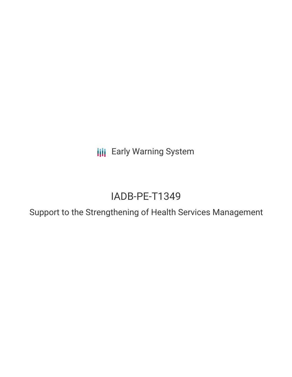**III** Early Warning System

# IADB-PE-T1349

Support to the Strengthening of Health Services Management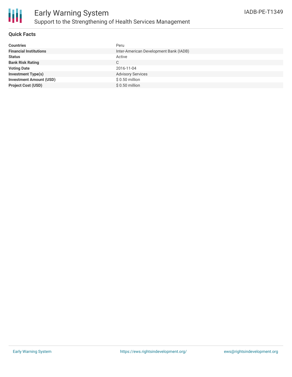

#### **Quick Facts**

| <b>Countries</b>               | Peru                                   |
|--------------------------------|----------------------------------------|
| <b>Financial Institutions</b>  | Inter-American Development Bank (IADB) |
| <b>Status</b>                  | Active                                 |
| <b>Bank Risk Rating</b>        | $\mathbb{C}$                           |
| <b>Voting Date</b>             | 2016-11-04                             |
| <b>Investment Type(s)</b>      | <b>Advisory Services</b>               |
| <b>Investment Amount (USD)</b> | $$0.50$ million                        |
| <b>Project Cost (USD)</b>      | $$0.50$ million                        |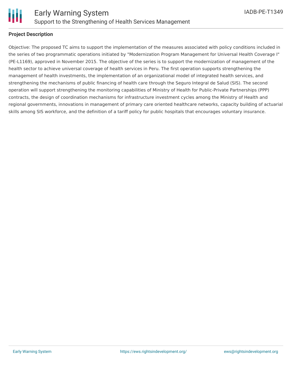

#### **Project Description**

Objective: The proposed TC aims to support the implementation of the measures associated with policy conditions included in the series of two programmatic operations initiated by "Modernization Program Management for Universal Health Coverage I" (PE-L1169), approved in November 2015. The objective of the series is to support the modernization of management of the health sector to achieve universal coverage of health services in Peru. The first operation supports strengthening the management of health investments, the implementation of an organizational model of integrated health services, and strengthening the mechanisms of public financing of health care through the Seguro Integral de Salud (SIS). The second operation will support strengthening the monitoring capabilities of Ministry of Health for Public-Private Partnerships (PPP) contracts, the design of coordination mechanisms for infrastructure investment cycles among the Ministry of Health and regional governments, innovations in management of primary care oriented healthcare networks, capacity building of actuarial skills among SIS workforce, and the definition of a tariff policy for public hospitals that encourages voluntary insurance.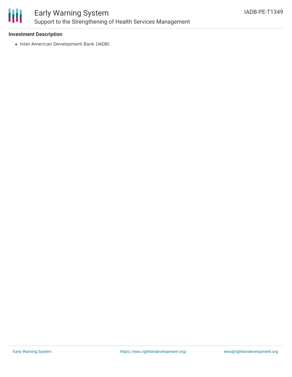

### Early Warning System Support to the Strengthening of Health Services Management

#### **Investment Description**

• Inter-American Development Bank (IADB)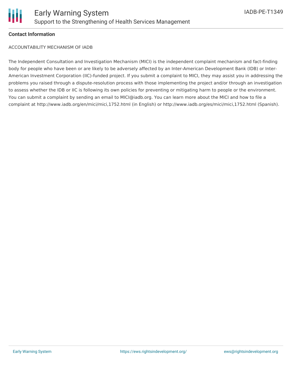

#### **Contact Information**

ACCOUNTABILITY MECHANISM OF IADB

The Independent Consultation and Investigation Mechanism (MICI) is the independent complaint mechanism and fact-finding body for people who have been or are likely to be adversely affected by an Inter-American Development Bank (IDB) or Inter-American Investment Corporation (IIC)-funded project. If you submit a complaint to MICI, they may assist you in addressing the problems you raised through a dispute-resolution process with those implementing the project and/or through an investigation to assess whether the IDB or IIC is following its own policies for preventing or mitigating harm to people or the environment. You can submit a complaint by sending an email to MICI@iadb.org. You can learn more about the MICI and how to file a complaint at http://www.iadb.org/en/mici/mici,1752.html (in English) or http://www.iadb.org/es/mici/mici,1752.html (Spanish).